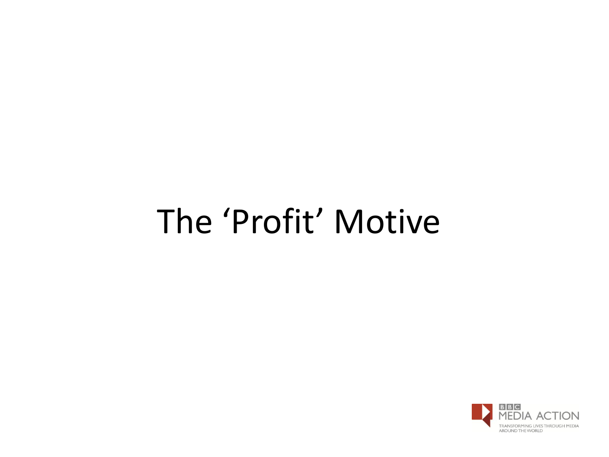# The 'Profit' Motive

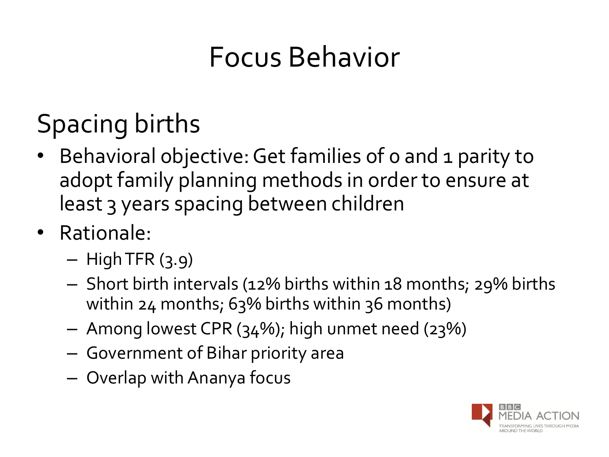## Focus Behavior

## Spacing births

- Behavioral objective: Get families of 0 and 1 parity to adopt family planning methods in order to ensure at least 3 years spacing between children
- Rationale:
	- $-$  High TFR  $(3.9)$
	- Short birth intervals (12% births within 18 months; 29% births within 24 months; 63% births within 36 months)
	- Among lowest CPR (34%); high unmet need (23%)
	- Government of Bihar priority area
	- Overlap with Ananya focus

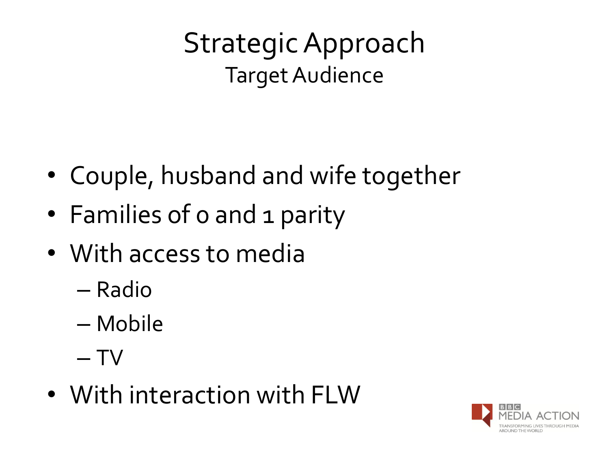Strategic Approach Target Audience

- Couple, husband and wife together
- Families of 0 and 1 parity
- With access to media
	- Radio
	- Mobile
	- $T V$
- With interaction with FLW

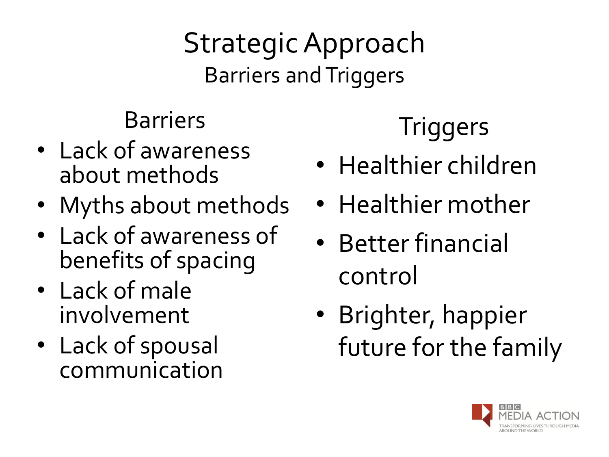Strategic Approach Barriers and Triggers

#### Barriers

- Lack of awareness about methods
- Myths about methods
- Lack of awareness of benefits of spacing
- Lack of male involvement
- Lack of spousal communication

#### **Triggers**

- Healthier children
- Healthier mother
- Better financial control
- Brighter, happier future for the family

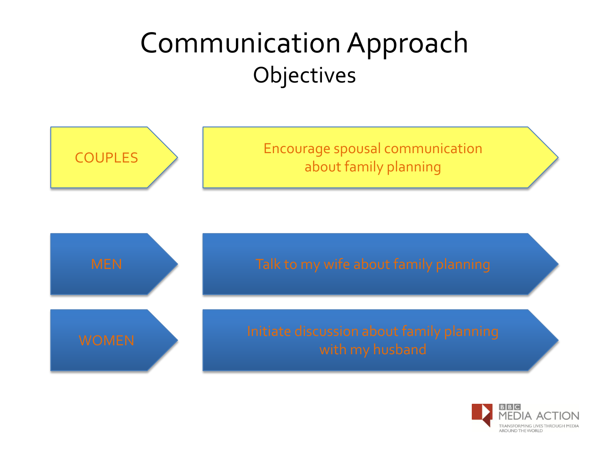#### Communication Approach **Objectives**



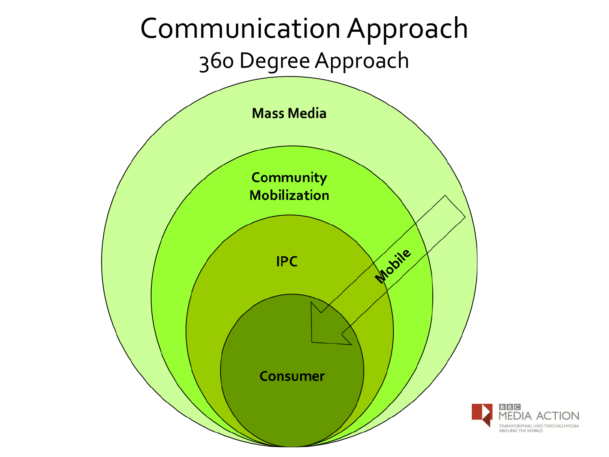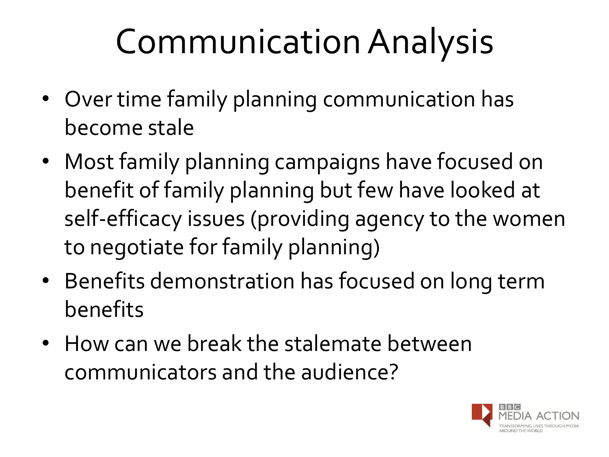# Communication Analysis

- Over time family planning communication has become stale
- Most family planning campaigns have focused on benefit of family planning but few have looked at self-efficacy issues (providing agency to the women to negotiate for family planning)
- Benefits demonstration has focused on long term benefits
- How can we break the stalemate between communicators and the audience?

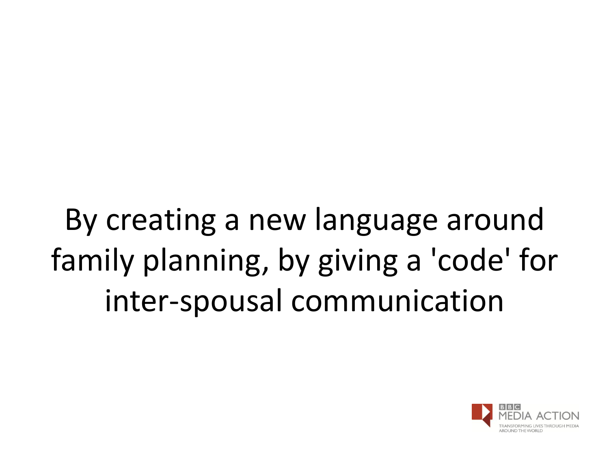By creating a new language around family planning, by giving a 'code' for inter-spousal communication

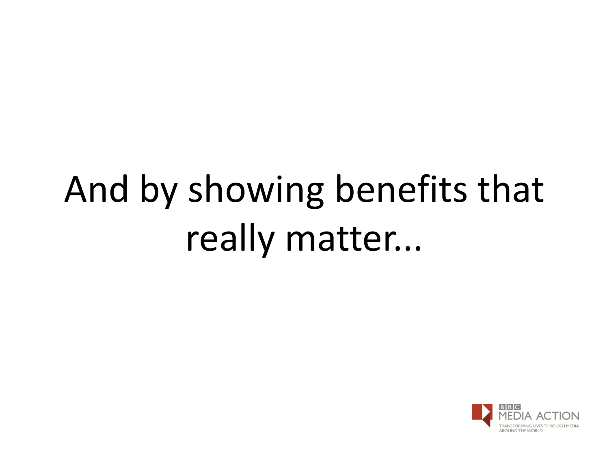# And by showing benefits that really matter...

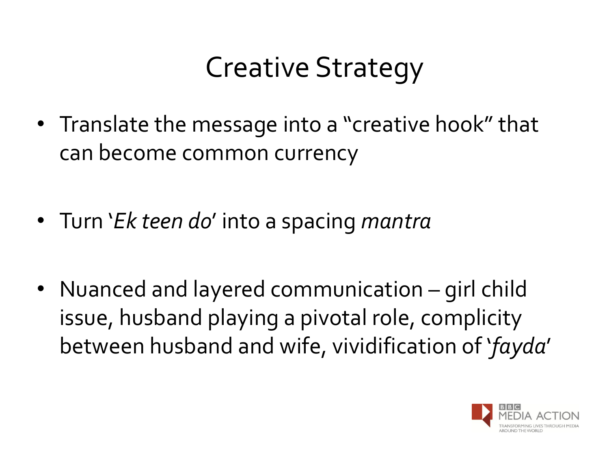## Creative Strategy

- Translate the message into a "creative hook" that can become common currency
- Turn '*Ek teen do*' into a spacing *mantra*
- Nuanced and layered communication girl child issue, husband playing a pivotal role, complicity between husband and wife, vividification of '*fayda*'